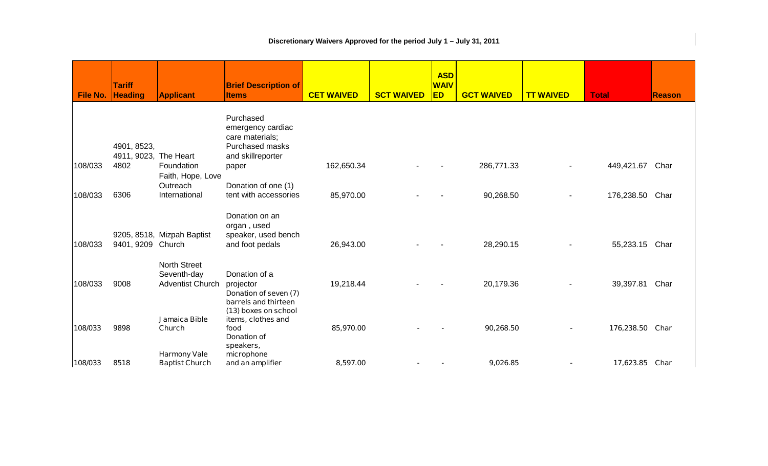## **Discretionary Waivers Approved for the period July 1 – July 31, 2011**

| <b>File No.</b> | <b>Tariff</b><br><b>Heading</b> | <b>Applicant</b>                                              | <b>Brief Description of</b><br><b>Items</b>                                           | <b>CET WAIVED</b> | <b>SCT WAIVED</b> | <b>ASD</b><br><b>WAIV</b><br>ED | <b>GCT WAIVED</b> | <b>TT WAIVED</b> | <b>Total</b>   | <b>Reason</b> |
|-----------------|---------------------------------|---------------------------------------------------------------|---------------------------------------------------------------------------------------|-------------------|-------------------|---------------------------------|-------------------|------------------|----------------|---------------|
|                 | 4901, 8523,                     |                                                               | Purchased<br>emergency cardiac<br>care materials;<br>Purchased masks                  |                   |                   |                                 |                   |                  |                |               |
| 108/033         | 4911, 9023, The Heart<br>4802   | Foundation                                                    | and skillreporter<br>paper                                                            | 162,650.34        |                   |                                 | 286,771.33        |                  | 449,421.67     | Char          |
| 108/033         | 6306                            | Faith, Hope, Love<br>Outreach<br>International                | Donation of one (1)<br>tent with accessories                                          | 85,970.00         |                   |                                 | 90,268.50         |                  | 176,238.50     | Char          |
| 108/033         | 9401, 9209 Church               | 9205, 8518, Mizpah Baptist                                    | Donation on an<br>organ, used<br>speaker, used bench<br>and foot pedals               | 26,943.00         |                   |                                 | 28,290.15         |                  | 55,233.15      | Char          |
| 108/033         | 9008                            | <b>North Street</b><br>Seventh-day<br><b>Adventist Church</b> | Donation of a<br>projector<br>Donation of seven (7)<br>barrels and thirteen           | 19,218.44         |                   |                                 | 20,179.36         |                  | 39,397.81      | Char          |
| 108/033         | 9898                            | Jamaica Bible<br>Church                                       | (13) boxes on school<br>items, clothes and<br>food<br><b>Donation of</b><br>speakers, | 85,970.00         |                   |                                 | 90,268.50         |                  | 176,238.50     | Char          |
| 108/033         | 8518                            | <b>Harmony Vale</b><br><b>Baptist Church</b>                  | microphone<br>and an amplifier                                                        | 8,597.00          |                   |                                 | 9,026.85          |                  | 17,623.85 Char |               |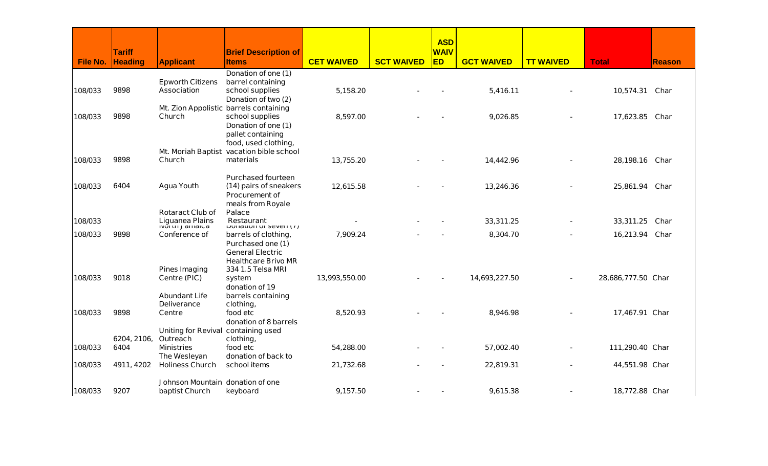|                 |                |                                        |                                                 |                   |                   | <b>ASD</b>  |                   |                  |                    |               |
|-----------------|----------------|----------------------------------------|-------------------------------------------------|-------------------|-------------------|-------------|-------------------|------------------|--------------------|---------------|
|                 | <b>Tariff</b>  |                                        | <b>Brief Description of</b>                     |                   |                   | <b>WAIV</b> |                   |                  |                    |               |
| <b>File No.</b> | <b>Heading</b> | <b>Applicant</b>                       | <b>Items</b>                                    | <b>CET WAIVED</b> | <b>SCT WAIVED</b> | ED          | <b>GCT WAIVED</b> | <b>TT WAIVED</b> | <b>Total</b>       | <b>Reason</b> |
|                 |                |                                        | Donation of one (1)                             |                   |                   |             |                   |                  |                    |               |
|                 |                | <b>Epworth Citizens</b>                | barrel containing                               |                   |                   |             |                   |                  |                    |               |
| 108/033         | 9898           | <b>Association</b>                     | school supplies                                 | 5,158.20          |                   |             | 5,416.11          |                  | 10,574.31          | Char          |
|                 |                |                                        | Donation of two (2)                             |                   |                   |             |                   |                  |                    |               |
| 108/033         | 9898           | <b>Mt. Zion Appolistic</b><br>Church   | barrels containing<br>school supplies           | 8,597.00          |                   |             | 9,026.85          |                  | 17,623.85          | Char          |
|                 |                |                                        | Donation of one (1)                             |                   |                   |             |                   |                  |                    |               |
|                 |                |                                        | pallet containing                               |                   |                   |             |                   |                  |                    |               |
|                 |                |                                        | food, used clothing,                            |                   |                   |             |                   |                  |                    |               |
|                 |                | <b>Mt. Moriah Baptist</b>              | vacation bible school                           |                   |                   |             |                   |                  |                    |               |
| 108/033         | 9898           | Church                                 | materials                                       | 13,755.20         |                   |             | 14,442.96         |                  | 28,198.16          | Char          |
|                 |                |                                        |                                                 |                   |                   |             |                   |                  |                    |               |
|                 |                |                                        | <b>Purchased fourteen</b>                       |                   |                   |             |                   |                  |                    |               |
| 108/033         | 6404           | <b>Agua Youth</b>                      | (14) pairs of sneakers                          | 12,615.58         |                   |             | 13,246.36         |                  | 25,861.94          | Char          |
|                 |                |                                        | <b>Procurement of</b>                           |                   |                   |             |                   |                  |                    |               |
|                 |                | <b>Rotaract Club of</b>                | meals from Royale<br><b>Palace</b>              |                   |                   |             |                   |                  |                    |               |
| 108/033         |                |                                        | <b>Restaurant</b>                               |                   |                   |             | 33,311.25         |                  | 33,311.25          | Char          |
|                 |                | Liguanea Plains<br>North Jamaica       | Donation of seven (1)                           |                   |                   |             |                   |                  |                    |               |
| 108/033         | 9898           | <b>Conference of</b>                   | barrels of clothing,                            | 7,909.24          |                   |             | 8,304.70          |                  | 16,213.94          | Char          |
|                 |                |                                        | Purchased one (1)                               |                   |                   |             |                   |                  |                    |               |
|                 |                |                                        | <b>General Electric</b>                         |                   |                   |             |                   |                  |                    |               |
|                 |                | <b>Pines Imaging</b>                   | <b>Healthcare Brivo MR</b><br>334 1.5 Telsa MRI |                   |                   |             |                   |                  |                    |               |
| 108/033         | 9018           | Centre (PIC)                           | system                                          | 13,993,550.00     |                   |             | 14,693,227.50     |                  | 28,686,777.50 Char |               |
|                 |                |                                        | donation of 19                                  |                   |                   |             |                   |                  |                    |               |
|                 |                | <b>Abundant Life</b>                   | barrels containing                              |                   |                   |             |                   |                  |                    |               |
|                 |                | <b>Deliverance</b>                     | clothing,                                       |                   |                   |             |                   |                  |                    |               |
| 108/033         | 9898           | <b>Centre</b>                          | food etc                                        | 8,520.93          |                   |             | 8,946.98          |                  | 17,467.91 Char     |               |
|                 |                |                                        | donation of 8 barrels                           |                   |                   |             |                   |                  |                    |               |
|                 |                | <b>Uniting for Revival</b>             | containing used                                 |                   |                   |             |                   |                  |                    |               |
|                 | 6204, 2106,    | Outreach                               | clothing,                                       |                   |                   |             |                   |                  |                    |               |
| 108/033         | 6404           | <b>Ministries</b>                      | food etc                                        | 54,288.00         |                   |             | 57,002.40         |                  | 111,290.40 Char    |               |
| 108/033         | 4911, 4202     | The Wesleyan<br><b>Holiness Church</b> | donation of back to<br>school items             | 21,732.68         |                   |             | 22,819.31         |                  | 44,551.98 Char     |               |
|                 |                |                                        |                                                 |                   |                   |             |                   |                  |                    |               |
|                 |                | Johnson Mountain donation of one       |                                                 |                   |                   |             |                   |                  |                    |               |
| 108/033         | 9207           | baptist Church                         | keyboard                                        | 9,157.50          |                   |             | 9,615.38          |                  | 18,772.88 Char     |               |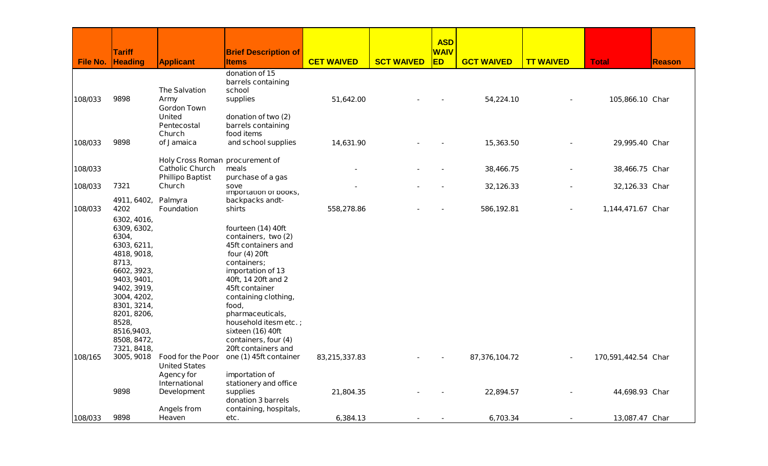|                 |                            |                                 |                                       |                   |                   | <b>ASD</b>  |                   |                  |                     |               |
|-----------------|----------------------------|---------------------------------|---------------------------------------|-------------------|-------------------|-------------|-------------------|------------------|---------------------|---------------|
|                 | <b>Tariff</b>              |                                 | <b>Brief Description of</b>           |                   |                   | <b>WAIV</b> |                   |                  |                     |               |
| <b>File No.</b> | <b>Heading</b>             | <b>Applicant</b>                | <b>Items</b>                          | <b>CET WAIVED</b> | <b>SCT WAIVED</b> | <b>ED</b>   | <b>GCT WAIVED</b> | <b>TT WAIVED</b> | <b>Total</b>        | <b>Reason</b> |
|                 |                            |                                 | donation of 15                        |                   |                   |             |                   |                  |                     |               |
|                 |                            | <b>The Salvation</b>            | barrels containing                    |                   |                   |             |                   |                  |                     |               |
| 108/033         | 9898                       | Army                            | school<br>supplies                    | 51,642.00         |                   |             | 54,224.10         |                  | 105,866.10 Char     |               |
|                 |                            | <b>Gordon Town</b>              |                                       |                   |                   |             |                   |                  |                     |               |
|                 |                            | United                          | donation of two (2)                   |                   |                   |             |                   |                  |                     |               |
|                 |                            | Pentecostal                     | barrels containing                    |                   |                   |             |                   |                  |                     |               |
|                 |                            | Church                          | food items                            |                   |                   |             |                   |                  |                     |               |
| 108/033         | 9898                       | of Jamaica                      | and school supplies                   | 14,631.90         |                   |             | 15,363.50         |                  | 29,995.40 Char      |               |
|                 |                            | Holy Cross Roman procurement of |                                       |                   |                   |             |                   |                  |                     |               |
| 108/033         |                            | <b>Catholic Church</b>          | meals                                 |                   |                   |             | 38,466.75         |                  | 38,466.75 Char      |               |
|                 |                            | <b>Phillipo Baptist</b>         | purchase of a gas                     |                   |                   |             |                   |                  |                     |               |
| 108/033         | 7321                       | Church                          | sove<br>importation or books,         |                   |                   |             | 32,126.33         |                  | 32,126.33 Char      |               |
|                 | 4911, 6402,                | Palmyra                         | backpacks andt-                       |                   |                   |             |                   |                  |                     |               |
| 108/033         | 4202                       | <b>Foundation</b>               | shirts                                | 558,278.86        |                   |             | 586,192.81        | $\blacksquare$   | 1,144,471.67 Char   |               |
|                 | 6302, 4016,                |                                 |                                       |                   |                   |             |                   |                  |                     |               |
|                 | 6309, 6302,                |                                 | fourteen (14) 40ft                    |                   |                   |             |                   |                  |                     |               |
|                 | 6304,                      |                                 | containers, two (2)                   |                   |                   |             |                   |                  |                     |               |
|                 | 6303, 6211,                |                                 | 45ft containers and                   |                   |                   |             |                   |                  |                     |               |
|                 | 4818, 9018,                |                                 | four (4) 20ft                         |                   |                   |             |                   |                  |                     |               |
|                 | 8713,                      |                                 | containers;                           |                   |                   |             |                   |                  |                     |               |
|                 | 6602, 3923,<br>9403, 9401, |                                 | importation of 13                     |                   |                   |             |                   |                  |                     |               |
|                 | 9402, 3919,                |                                 | 40ft, 14 20ft and 2<br>45ft container |                   |                   |             |                   |                  |                     |               |
|                 | 3004, 4202,                |                                 | containing clothing,                  |                   |                   |             |                   |                  |                     |               |
|                 | 8301, 3214,                |                                 | food,                                 |                   |                   |             |                   |                  |                     |               |
|                 | 8201, 8206,                |                                 | pharmaceuticals,                      |                   |                   |             |                   |                  |                     |               |
|                 | 8528,                      |                                 | household itesm etc.;                 |                   |                   |             |                   |                  |                     |               |
|                 | 8516,9403,                 |                                 | sixteen (16) 40ft                     |                   |                   |             |                   |                  |                     |               |
|                 | 8508, 8472,                |                                 | containers, four (4)                  |                   |                   |             |                   |                  |                     |               |
|                 | 7321, 8418,                |                                 | 20ft containers and                   |                   |                   |             |                   |                  |                     |               |
| 108/165         | 3005, 9018                 | <b>Food for the Poor</b>        | one (1) 45ft container                | 83,215,337.83     |                   |             | 87,376,104.72     | $\blacksquare$   | 170,591,442.54 Char |               |
|                 |                            | <b>United States</b>            |                                       |                   |                   |             |                   |                  |                     |               |
|                 |                            | <b>Agency for</b>               | importation of                        |                   |                   |             |                   |                  |                     |               |
|                 | 9898                       | <b>International</b>            | stationery and office<br>supplies     |                   |                   |             |                   |                  |                     |               |
|                 |                            | <b>Development</b>              | donation 3 barrels                    | 21,804.35         |                   |             | 22,894.57         |                  | 44,698.93 Char      |               |
|                 |                            | Angels from                     | containing, hospitals,                |                   |                   |             |                   |                  |                     |               |
| 108/033         | 9898                       | Heaven                          | etc.                                  | 6,384.13          |                   |             | 6,703.34          |                  | 13,087.47 Char      |               |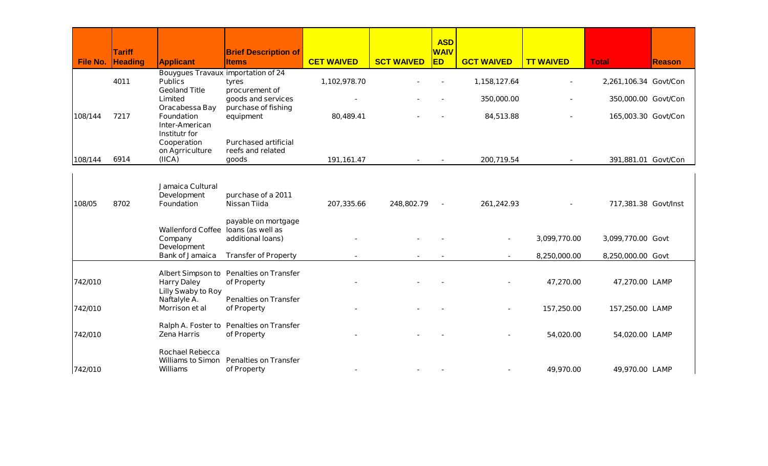|                 |                                 |                                                                                     |                                                               |                   |                   | <b>ASD</b>               |                   |                  |                       |               |
|-----------------|---------------------------------|-------------------------------------------------------------------------------------|---------------------------------------------------------------|-------------------|-------------------|--------------------------|-------------------|------------------|-----------------------|---------------|
| <b>File No.</b> | <b>Tariff</b><br><b>Heading</b> | <b>Applicant</b>                                                                    | <b>Brief Description of</b><br><b>Items</b>                   | <b>CET WAIVED</b> | <b>SCT WAIVED</b> | <b>WAIV</b><br><b>ED</b> | <b>GCT WAIVED</b> | <b>TT WAIVED</b> | <b>Total</b>          | <b>Reason</b> |
|                 | 4011                            | <b>Bouygues Travaux importation of 24</b><br><b>Publics</b><br><b>Geoland Title</b> | tyres<br>procurement of                                       | 1,102,978.70      |                   |                          | 1,158,127.64      |                  | 2,261,106.34 Govt/Con |               |
|                 |                                 | Limited<br>Oracabessa Bay                                                           | goods and services<br>purchase of fishing                     |                   |                   |                          | 350,000.00        |                  | 350,000.00 Govt/Con   |               |
| 108/144         | 7217                            | <b>Foundation</b><br><b>Inter-American</b><br><b>Institutr for</b>                  | equipment                                                     | 80,489.41         |                   |                          | 84,513.88         |                  | 165,003.30 Govt/Con   |               |
| 108/144         | 6914                            | Cooperation<br>on Agrriculture<br>(IICA)                                            | <b>Purchased artificial</b><br>reefs and related<br>goods     | 191,161.47        |                   |                          | 200,719.54        |                  | 391,881.01 Govt/Con   |               |
|                 |                                 |                                                                                     |                                                               |                   |                   |                          |                   |                  |                       |               |
| 108/05          | 8702                            | Jamaica Cultural<br><b>Development</b><br><b>Foundation</b>                         | purchase of a 2011<br><b>Nissan Tiida</b>                     | 207,335.66        | 248,802.79        |                          | 261,242.93        |                  | 717,381.38 Govt/Inst  |               |
|                 |                                 | <b>Wallenford Coffee</b><br>Company                                                 | payable on mortgage<br>loans (as well as<br>additional loans) |                   |                   |                          |                   | 3,099,770.00     | 3,099,770.00 Govt     |               |
|                 |                                 | <b>Development</b><br><b>Bank of Jamaica</b>                                        | <b>Transfer of Property</b>                                   |                   |                   |                          |                   | 8,250,000.00     | 8,250,000.00 Govt     |               |
| 742/010         |                                 | <b>Harry Daley</b>                                                                  | Albert Simpson to Penalties on Transfer<br>of Property        |                   |                   |                          |                   | 47,270.00        | 47,270.00 LAMP        |               |
| 742/010         |                                 | <b>Lilly Swaby to Roy</b><br>Naftalyle A.<br>Morrison et al                         | <b>Penalties on Transfer</b><br>of Property                   |                   |                   |                          |                   | 157,250.00       | 157,250.00 LAMP       |               |
|                 |                                 |                                                                                     |                                                               |                   |                   |                          |                   |                  |                       |               |
| 742/010         |                                 | <b>Zena Harris</b>                                                                  | Ralph A. Foster to Penalties on Transfer<br>of Property       |                   |                   |                          |                   | 54,020.00        | 54,020.00 LAMP        |               |
| 742/010         |                                 | <b>Rochael Rebecca</b><br><b>Williams to Simon</b><br><b>Williams</b>               | <b>Penalties on Transfer</b><br>of Property                   |                   |                   |                          |                   | 49,970.00        | 49,970.00 LAMP        |               |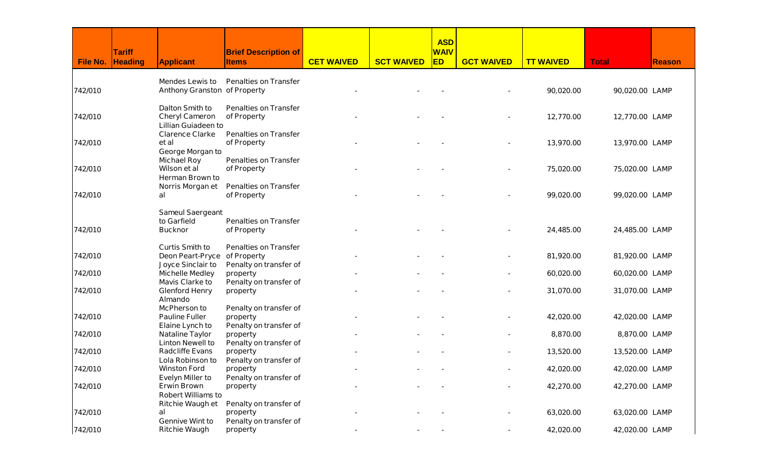|          |               |                                                      |                                             |                   |                   | <b>ASD</b>  |                   |                  |                |               |
|----------|---------------|------------------------------------------------------|---------------------------------------------|-------------------|-------------------|-------------|-------------------|------------------|----------------|---------------|
|          | <b>Tariff</b> |                                                      | <b>Brief Description of</b>                 |                   |                   | <b>WAIV</b> |                   |                  |                |               |
| File No. | Heading       | <b>Applicant</b>                                     | <b>Items</b>                                | <b>CET WAIVED</b> | <b>SCT WAIVED</b> | <b>ED</b>   | <b>GCT WAIVED</b> | <b>TT WAIVED</b> | <b>Total</b>   | <b>Reason</b> |
|          |               | <b>Mendes Lewis to</b>                               | <b>Penalties on Transfer</b>                |                   |                   |             |                   |                  |                |               |
| 742/010  |               | <b>Anthony Granston of Property</b>                  |                                             |                   |                   |             |                   | 90,020.00        | 90,020.00 LAMP |               |
|          |               | <b>Dalton Smith to</b>                               | <b>Penalties on Transfer</b>                |                   |                   |             |                   |                  |                |               |
| 742/010  |               | <b>Cheryl Cameron</b>                                | of Property                                 |                   |                   |             |                   | 12,770.00        | 12,770.00 LAMP |               |
|          |               | <b>Lillian Guiadeen to</b><br><b>Clarence Clarke</b> | <b>Penalties on Transfer</b>                |                   |                   |             |                   |                  |                |               |
| 742/010  |               | et al                                                | of Property                                 |                   |                   |             |                   | 13,970.00        | 13,970.00 LAMP |               |
|          |               | George Morgan to<br><b>Michael Roy</b>               | <b>Penalties on Transfer</b>                |                   |                   |             |                   |                  |                |               |
| 742/010  |               | Wilson et al                                         | of Property                                 |                   |                   |             |                   | 75,020.00        | 75,020.00 LAMP |               |
|          |               | <b>Herman Brown to</b>                               |                                             |                   |                   |             |                   |                  |                |               |
| 742/010  |               | Norris Morgan et<br>al                               | <b>Penalties on Transfer</b><br>of Property |                   |                   |             |                   | 99,020.00        | 99,020.00 LAMP |               |
|          |               |                                                      |                                             |                   |                   |             |                   |                  |                |               |
|          |               | <b>Sameul Saergeant</b><br>to Garfield               | <b>Penalties on Transfer</b>                |                   |                   |             |                   |                  |                |               |
| 742/010  |               | <b>Bucknor</b>                                       | of Property                                 |                   |                   |             |                   | 24,485.00        | 24,485.00 LAMP |               |
|          |               |                                                      |                                             |                   |                   |             |                   |                  |                |               |
| 742/010  |               | <b>Curtis Smith to</b><br><b>Deon Peart-Pryce</b>    | <b>Penalties on Transfer</b><br>of Property |                   |                   |             |                   | 81,920.00        | 81,920.00 LAMP |               |
|          |               | Joyce Sinclair to                                    | Penalty on transfer of                      |                   |                   |             |                   |                  |                |               |
| 742/010  |               | <b>Michelle Medley</b>                               | property                                    |                   |                   |             |                   | 60,020.00        | 60,020.00 LAMP |               |
|          |               | <b>Mavis Clarke to</b>                               | Penalty on transfer of                      |                   |                   |             |                   |                  |                |               |
| 742/010  |               | <b>Glenford Henry</b>                                | property                                    |                   |                   |             |                   | 31,070.00        | 31,070.00 LAMP |               |
|          |               | <b>Almando</b><br><b>McPherson to</b>                | Penalty on transfer of                      |                   |                   |             |                   |                  |                |               |
| 742/010  |               | <b>Pauline Fuller</b>                                | property                                    |                   |                   |             |                   | 42,020.00        | 42,020.00 LAMP |               |
|          |               | <b>Elaine Lynch to</b>                               | Penalty on transfer of                      |                   |                   |             |                   |                  |                |               |
| 742/010  |               | <b>Nataline Taylor</b>                               | property                                    |                   |                   |             |                   | 8,870.00         | 8,870.00 LAMP  |               |
|          |               | <b>Linton Newell to</b>                              | Penalty on transfer of                      |                   |                   |             |                   |                  |                |               |
| 742/010  |               | <b>Radcliffe Evans</b>                               | property                                    |                   |                   |             |                   | 13,520.00        | 13,520.00 LAMP |               |
| 742/010  |               | Lola Robinson to<br><b>Winston Ford</b>              | Penalty on transfer of<br>property          |                   |                   |             |                   | 42,020.00        | 42,020.00 LAMP |               |
|          |               | <b>Evelyn Miller to</b>                              | Penalty on transfer of                      |                   |                   |             |                   |                  |                |               |
| 742/010  |               | <b>Erwin Brown</b>                                   | property                                    |                   |                   |             |                   | 42,270.00        | 42,270.00 LAMP |               |
|          |               | <b>Robert Williams to</b>                            |                                             |                   |                   |             |                   |                  |                |               |
|          |               | <b>Ritchie Waugh et</b>                              | Penalty on transfer of                      |                   |                   |             |                   |                  |                |               |
| 742/010  |               | al                                                   | property                                    |                   |                   |             |                   | 63,020.00        | 63,020.00 LAMP |               |
|          |               | <b>Gennive Wint to</b>                               | Penalty on transfer of                      |                   |                   |             |                   |                  |                |               |
| 742/010  |               | <b>Ritchie Waugh</b>                                 | property                                    |                   |                   |             | ٠                 | 42,020.00        | 42,020.00 LAMP |               |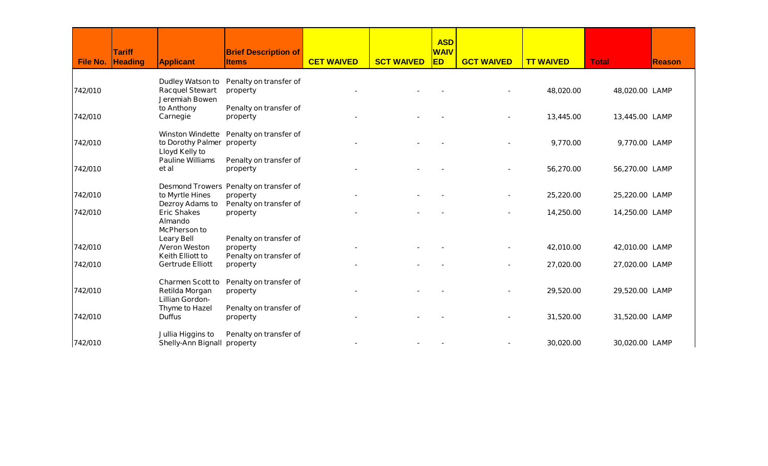|          | <b>Tariff</b>  |                                                                       | <b>Brief Description of</b>                                                  |                   |                   | <b>ASD</b><br><b>WAIV</b> |                   |                  |                |               |
|----------|----------------|-----------------------------------------------------------------------|------------------------------------------------------------------------------|-------------------|-------------------|---------------------------|-------------------|------------------|----------------|---------------|
| File No. | <b>Heading</b> | <b>Applicant</b>                                                      | <b>Items</b>                                                                 | <b>CET WAIVED</b> | <b>SCT WAIVED</b> | <b>ED</b>                 | <b>GCT WAIVED</b> | <b>TT WAIVED</b> | <b>Total</b>   | <b>Reason</b> |
| 742/010  |                | <b>Dudley Watson to</b><br><b>Racquel Stewart</b><br>Jeremiah Bowen   | Penalty on transfer of<br>property                                           |                   |                   |                           |                   | 48,020.00        | 48,020.00 LAMP |               |
| 742/010  |                | to Anthony<br>Carnegie                                                | Penalty on transfer of<br>property                                           |                   |                   |                           |                   | 13,445.00        | 13,445.00 LAMP |               |
| 742/010  |                | <b>Winston Windette</b><br>to Dorothy Palmer<br><b>Lloyd Kelly to</b> | Penalty on transfer of<br>property                                           |                   |                   |                           |                   | 9,770.00         | 9,770.00 LAMP  |               |
| 742/010  |                | <b>Pauline Williams</b><br>et al                                      | Penalty on transfer of<br>property                                           |                   |                   |                           |                   | 56,270.00        | 56,270.00 LAMP |               |
| 742/010  |                | to Myrtle Hines<br><b>Dezroy Adams to</b>                             | Desmond Trowers Penalty on transfer of<br>property<br>Penalty on transfer of |                   |                   |                           |                   | 25,220.00        | 25,220.00 LAMP |               |
| 742/010  |                | <b>Eric Shakes</b><br>Almando<br><b>McPherson to</b>                  | property                                                                     |                   |                   |                           |                   | 14,250.00        | 14,250.00 LAMP |               |
| 742/010  |                | <b>Leary Bell</b><br><b>Neron Weston</b><br><b>Keith Elliott to</b>   | Penalty on transfer of<br>property<br>Penalty on transfer of                 |                   |                   |                           |                   | 42,010.00        | 42,010.00 LAMP |               |
| 742/010  |                | <b>Gertrude Elliott</b>                                               | property                                                                     |                   |                   |                           |                   | 27,020.00        | 27,020.00 LAMP |               |
| 742/010  |                | <b>Charmen Scott to</b><br>Retilda Morgan<br><b>Lillian Gordon-</b>   | Penalty on transfer of<br>property                                           |                   |                   |                           |                   | 29,520.00        | 29,520.00 LAMP |               |
| 742/010  |                | <b>Thyme to Hazel</b><br><b>Duffus</b>                                | Penalty on transfer of<br>property                                           |                   |                   |                           |                   | 31,520.00        | 31,520.00 LAMP |               |
| 742/010  |                | Jullia Higgins to<br><b>Shelly-Ann Bignall property</b>               | Penalty on transfer of                                                       |                   |                   |                           |                   | 30,020.00        | 30,020.00 LAMP |               |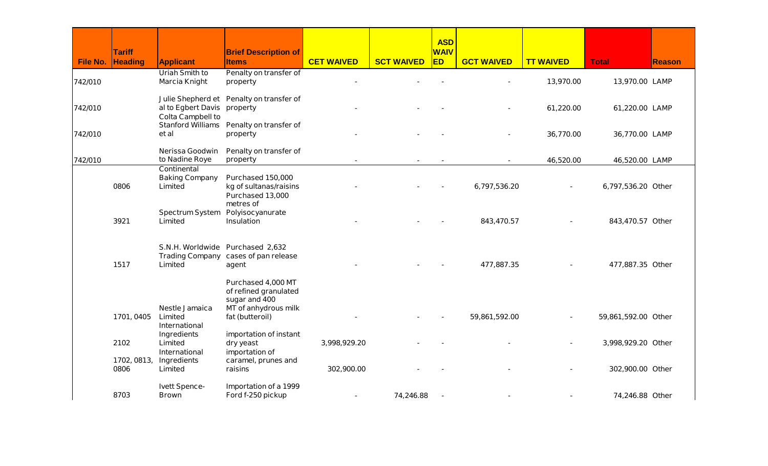| <b>WAIV</b><br><b>Tariff</b><br><b>Brief Description of</b><br>ED<br><b>CET WAIVED</b><br>File No.<br><b>Heading</b><br><b>Applicant</b><br><b>SCT WAIVED</b><br><b>GCT WAIVED</b><br><b>TT WAIVED</b><br><b>Reason</b><br><b>Total</b><br><b>Items</b><br><b>Uriah Smith to</b><br>Penalty on transfer of<br><b>Marcia Knight</b><br>742/010<br>13,970.00<br>13,970.00 LAMP<br>property<br><b>Julie Shepherd et</b><br>Penalty on transfer of<br>742/010<br>al to Egbert Davis<br>61,220.00<br>61,220.00 LAMP<br>property<br><b>Colta Campbell to</b><br>Stanford Williams Penalty on transfer of<br>742/010<br>36,770.00<br>et al<br>36,770.00 LAMP<br>property<br>Nerissa Goodwin<br>Penalty on transfer of<br>742/010<br>to Nadine Roye<br>46,520.00<br>46,520.00 LAMP<br>property<br><b>Continental</b><br><b>Baking Company</b><br>Purchased 150,000<br>0806<br>Limited<br>kg of sultanas/raisins<br>6,797,536.20<br>6,797,536.20 Other<br>Purchased 13,000<br>metres of<br><b>Spectrum System</b><br>Polyisocyanurate<br>3921<br>Limited<br>Insulation<br>843,470.57<br>843,470.57 Other<br>S.N.H. Worldwide<br>Purchased 2,632<br><b>Trading Company</b><br>cases of pan release<br>1517<br><b>Limited</b><br>477,887.35<br>477,887.35 Other<br>agent<br>Purchased 4,000 MT<br>of refined granulated<br>sugar and 400<br><b>Nestle Jamaica</b><br><b>MT</b> of anhydrous milk<br>1701, 0405<br><b>Limited</b><br>fat (butteroil)<br>59,861,592.00<br>59,861,592.00 Other<br><b>International</b><br>Ingredients<br>importation of instant<br>2102<br>Limited<br>3,998,929.20<br>3,998,929.20 Other<br>dry yeast<br><b>International</b><br>importation of<br>1702, 0813, Ingredients |  |                     |  | <b>ASD</b> |  |  |
|----------------------------------------------------------------------------------------------------------------------------------------------------------------------------------------------------------------------------------------------------------------------------------------------------------------------------------------------------------------------------------------------------------------------------------------------------------------------------------------------------------------------------------------------------------------------------------------------------------------------------------------------------------------------------------------------------------------------------------------------------------------------------------------------------------------------------------------------------------------------------------------------------------------------------------------------------------------------------------------------------------------------------------------------------------------------------------------------------------------------------------------------------------------------------------------------------------------------------------------------------------------------------------------------------------------------------------------------------------------------------------------------------------------------------------------------------------------------------------------------------------------------------------------------------------------------------------------------------------------------------------------------------------------------------------------------|--|---------------------|--|------------|--|--|
|                                                                                                                                                                                                                                                                                                                                                                                                                                                                                                                                                                                                                                                                                                                                                                                                                                                                                                                                                                                                                                                                                                                                                                                                                                                                                                                                                                                                                                                                                                                                                                                                                                                                                              |  |                     |  |            |  |  |
|                                                                                                                                                                                                                                                                                                                                                                                                                                                                                                                                                                                                                                                                                                                                                                                                                                                                                                                                                                                                                                                                                                                                                                                                                                                                                                                                                                                                                                                                                                                                                                                                                                                                                              |  |                     |  |            |  |  |
|                                                                                                                                                                                                                                                                                                                                                                                                                                                                                                                                                                                                                                                                                                                                                                                                                                                                                                                                                                                                                                                                                                                                                                                                                                                                                                                                                                                                                                                                                                                                                                                                                                                                                              |  |                     |  |            |  |  |
|                                                                                                                                                                                                                                                                                                                                                                                                                                                                                                                                                                                                                                                                                                                                                                                                                                                                                                                                                                                                                                                                                                                                                                                                                                                                                                                                                                                                                                                                                                                                                                                                                                                                                              |  |                     |  |            |  |  |
|                                                                                                                                                                                                                                                                                                                                                                                                                                                                                                                                                                                                                                                                                                                                                                                                                                                                                                                                                                                                                                                                                                                                                                                                                                                                                                                                                                                                                                                                                                                                                                                                                                                                                              |  |                     |  |            |  |  |
|                                                                                                                                                                                                                                                                                                                                                                                                                                                                                                                                                                                                                                                                                                                                                                                                                                                                                                                                                                                                                                                                                                                                                                                                                                                                                                                                                                                                                                                                                                                                                                                                                                                                                              |  |                     |  |            |  |  |
|                                                                                                                                                                                                                                                                                                                                                                                                                                                                                                                                                                                                                                                                                                                                                                                                                                                                                                                                                                                                                                                                                                                                                                                                                                                                                                                                                                                                                                                                                                                                                                                                                                                                                              |  |                     |  |            |  |  |
|                                                                                                                                                                                                                                                                                                                                                                                                                                                                                                                                                                                                                                                                                                                                                                                                                                                                                                                                                                                                                                                                                                                                                                                                                                                                                                                                                                                                                                                                                                                                                                                                                                                                                              |  |                     |  |            |  |  |
|                                                                                                                                                                                                                                                                                                                                                                                                                                                                                                                                                                                                                                                                                                                                                                                                                                                                                                                                                                                                                                                                                                                                                                                                                                                                                                                                                                                                                                                                                                                                                                                                                                                                                              |  |                     |  |            |  |  |
|                                                                                                                                                                                                                                                                                                                                                                                                                                                                                                                                                                                                                                                                                                                                                                                                                                                                                                                                                                                                                                                                                                                                                                                                                                                                                                                                                                                                                                                                                                                                                                                                                                                                                              |  |                     |  |            |  |  |
|                                                                                                                                                                                                                                                                                                                                                                                                                                                                                                                                                                                                                                                                                                                                                                                                                                                                                                                                                                                                                                                                                                                                                                                                                                                                                                                                                                                                                                                                                                                                                                                                                                                                                              |  |                     |  |            |  |  |
|                                                                                                                                                                                                                                                                                                                                                                                                                                                                                                                                                                                                                                                                                                                                                                                                                                                                                                                                                                                                                                                                                                                                                                                                                                                                                                                                                                                                                                                                                                                                                                                                                                                                                              |  |                     |  |            |  |  |
|                                                                                                                                                                                                                                                                                                                                                                                                                                                                                                                                                                                                                                                                                                                                                                                                                                                                                                                                                                                                                                                                                                                                                                                                                                                                                                                                                                                                                                                                                                                                                                                                                                                                                              |  |                     |  |            |  |  |
|                                                                                                                                                                                                                                                                                                                                                                                                                                                                                                                                                                                                                                                                                                                                                                                                                                                                                                                                                                                                                                                                                                                                                                                                                                                                                                                                                                                                                                                                                                                                                                                                                                                                                              |  |                     |  |            |  |  |
|                                                                                                                                                                                                                                                                                                                                                                                                                                                                                                                                                                                                                                                                                                                                                                                                                                                                                                                                                                                                                                                                                                                                                                                                                                                                                                                                                                                                                                                                                                                                                                                                                                                                                              |  |                     |  |            |  |  |
|                                                                                                                                                                                                                                                                                                                                                                                                                                                                                                                                                                                                                                                                                                                                                                                                                                                                                                                                                                                                                                                                                                                                                                                                                                                                                                                                                                                                                                                                                                                                                                                                                                                                                              |  |                     |  |            |  |  |
|                                                                                                                                                                                                                                                                                                                                                                                                                                                                                                                                                                                                                                                                                                                                                                                                                                                                                                                                                                                                                                                                                                                                                                                                                                                                                                                                                                                                                                                                                                                                                                                                                                                                                              |  |                     |  |            |  |  |
|                                                                                                                                                                                                                                                                                                                                                                                                                                                                                                                                                                                                                                                                                                                                                                                                                                                                                                                                                                                                                                                                                                                                                                                                                                                                                                                                                                                                                                                                                                                                                                                                                                                                                              |  |                     |  |            |  |  |
|                                                                                                                                                                                                                                                                                                                                                                                                                                                                                                                                                                                                                                                                                                                                                                                                                                                                                                                                                                                                                                                                                                                                                                                                                                                                                                                                                                                                                                                                                                                                                                                                                                                                                              |  |                     |  |            |  |  |
|                                                                                                                                                                                                                                                                                                                                                                                                                                                                                                                                                                                                                                                                                                                                                                                                                                                                                                                                                                                                                                                                                                                                                                                                                                                                                                                                                                                                                                                                                                                                                                                                                                                                                              |  |                     |  |            |  |  |
|                                                                                                                                                                                                                                                                                                                                                                                                                                                                                                                                                                                                                                                                                                                                                                                                                                                                                                                                                                                                                                                                                                                                                                                                                                                                                                                                                                                                                                                                                                                                                                                                                                                                                              |  |                     |  |            |  |  |
|                                                                                                                                                                                                                                                                                                                                                                                                                                                                                                                                                                                                                                                                                                                                                                                                                                                                                                                                                                                                                                                                                                                                                                                                                                                                                                                                                                                                                                                                                                                                                                                                                                                                                              |  |                     |  |            |  |  |
|                                                                                                                                                                                                                                                                                                                                                                                                                                                                                                                                                                                                                                                                                                                                                                                                                                                                                                                                                                                                                                                                                                                                                                                                                                                                                                                                                                                                                                                                                                                                                                                                                                                                                              |  |                     |  |            |  |  |
|                                                                                                                                                                                                                                                                                                                                                                                                                                                                                                                                                                                                                                                                                                                                                                                                                                                                                                                                                                                                                                                                                                                                                                                                                                                                                                                                                                                                                                                                                                                                                                                                                                                                                              |  |                     |  |            |  |  |
|                                                                                                                                                                                                                                                                                                                                                                                                                                                                                                                                                                                                                                                                                                                                                                                                                                                                                                                                                                                                                                                                                                                                                                                                                                                                                                                                                                                                                                                                                                                                                                                                                                                                                              |  |                     |  |            |  |  |
|                                                                                                                                                                                                                                                                                                                                                                                                                                                                                                                                                                                                                                                                                                                                                                                                                                                                                                                                                                                                                                                                                                                                                                                                                                                                                                                                                                                                                                                                                                                                                                                                                                                                                              |  |                     |  |            |  |  |
|                                                                                                                                                                                                                                                                                                                                                                                                                                                                                                                                                                                                                                                                                                                                                                                                                                                                                                                                                                                                                                                                                                                                                                                                                                                                                                                                                                                                                                                                                                                                                                                                                                                                                              |  |                     |  |            |  |  |
|                                                                                                                                                                                                                                                                                                                                                                                                                                                                                                                                                                                                                                                                                                                                                                                                                                                                                                                                                                                                                                                                                                                                                                                                                                                                                                                                                                                                                                                                                                                                                                                                                                                                                              |  |                     |  |            |  |  |
|                                                                                                                                                                                                                                                                                                                                                                                                                                                                                                                                                                                                                                                                                                                                                                                                                                                                                                                                                                                                                                                                                                                                                                                                                                                                                                                                                                                                                                                                                                                                                                                                                                                                                              |  |                     |  |            |  |  |
|                                                                                                                                                                                                                                                                                                                                                                                                                                                                                                                                                                                                                                                                                                                                                                                                                                                                                                                                                                                                                                                                                                                                                                                                                                                                                                                                                                                                                                                                                                                                                                                                                                                                                              |  | caramel, prunes and |  |            |  |  |
| 0806<br><b>Limited</b><br>raisins<br>302,900.00<br>302,900.00 Other                                                                                                                                                                                                                                                                                                                                                                                                                                                                                                                                                                                                                                                                                                                                                                                                                                                                                                                                                                                                                                                                                                                                                                                                                                                                                                                                                                                                                                                                                                                                                                                                                          |  |                     |  |            |  |  |
| <b>Ivett Spence-</b><br>Importation of a 1999                                                                                                                                                                                                                                                                                                                                                                                                                                                                                                                                                                                                                                                                                                                                                                                                                                                                                                                                                                                                                                                                                                                                                                                                                                                                                                                                                                                                                                                                                                                                                                                                                                                |  |                     |  |            |  |  |
| 8703<br>74,246.88<br>Ford f-250 pickup<br>74,246.88 Other<br><b>Brown</b><br>$\blacksquare$                                                                                                                                                                                                                                                                                                                                                                                                                                                                                                                                                                                                                                                                                                                                                                                                                                                                                                                                                                                                                                                                                                                                                                                                                                                                                                                                                                                                                                                                                                                                                                                                  |  |                     |  |            |  |  |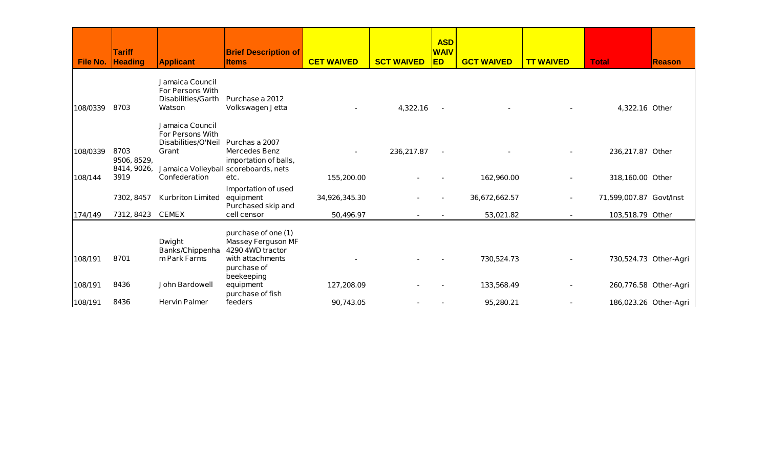| File No. | <b>Tariff</b><br><b>Heading</b> | <b>Applicant</b>                                                               | <b>Brief Description of</b><br><b>Items</b>                          | <b>CET WAIVED</b> | <b>SCT WAIVED</b> | <b>ASD</b><br><b>WAIV</b><br><b>ED</b> | <b>GCT WAIVED</b> | <b>TT WAIVED</b> | <b>Total</b>            | <b>Reason</b>         |
|----------|---------------------------------|--------------------------------------------------------------------------------|----------------------------------------------------------------------|-------------------|-------------------|----------------------------------------|-------------------|------------------|-------------------------|-----------------------|
|          |                                 | <b>Jamaica Council</b><br><b>For Persons With</b><br><b>Disabilities/Garth</b> | Purchase a 2012                                                      |                   |                   |                                        |                   |                  |                         |                       |
| 108/0339 | 8703                            | <b>Watson</b>                                                                  | Volkswagen Jetta                                                     |                   | 4,322.16          |                                        | $\blacksquare$    |                  | 4,322.16 Other          |                       |
|          |                                 | Jamaica Council<br><b>For Persons With</b><br>Disabilities/O'Neil              | Purchas a 2007                                                       |                   |                   |                                        |                   |                  |                         |                       |
| 108/0339 | 8703<br>9506, 8529,             | Grant                                                                          | <b>Mercedes Benz</b><br>importation of balls,                        |                   | 236,217.87        | $\sim$                                 |                   |                  | 236,217.87 Other        |                       |
| 108/144  | 8414, 9026,<br>3919             | <b>Confederation</b>                                                           | Jamaica Volleyball scoreboards, nets<br>etc.                         | 155,200.00        |                   |                                        | 162,960.00        |                  | 318,160.00 Other        |                       |
|          | 7302, 8457                      | <b>Kurbriton Limited</b>                                                       | <b>Importation of used</b><br>equipment<br>Purchased skip and        | 34,926,345.30     |                   |                                        | 36,672,662.57     | ۰.               | 71,599,007.87 Govt/Inst |                       |
| 174/149  | 7312, 8423                      | <b>CEMEX</b>                                                                   | cell censor                                                          | 50,496.97         |                   |                                        | 53,021.82         |                  | 103,518.79 Other        |                       |
|          |                                 | <b>Dwight</b><br><b>Banks/Chippenha</b>                                        | purchase of one (1)<br><b>Massey Ferguson MF</b><br>4290 4WD tractor |                   |                   |                                        |                   |                  |                         |                       |
| 108/191  | 8701                            | m Park Farms                                                                   | with attachments<br>purchase of<br>beekeeping                        |                   |                   |                                        | 730,524.73        |                  |                         | 730,524.73 Other-Agri |
| 108/191  | 8436                            | <b>John Bardowell</b>                                                          | equipment<br>purchase of fish                                        | 127,208.09        |                   |                                        | 133,568.49        |                  |                         | 260,776.58 Other-Agri |
| 108/191  | 8436                            | <b>Hervin Palmer</b>                                                           | feeders                                                              | 90,743.05         |                   |                                        | 95,280.21         |                  |                         | 186,023.26 Other-Agri |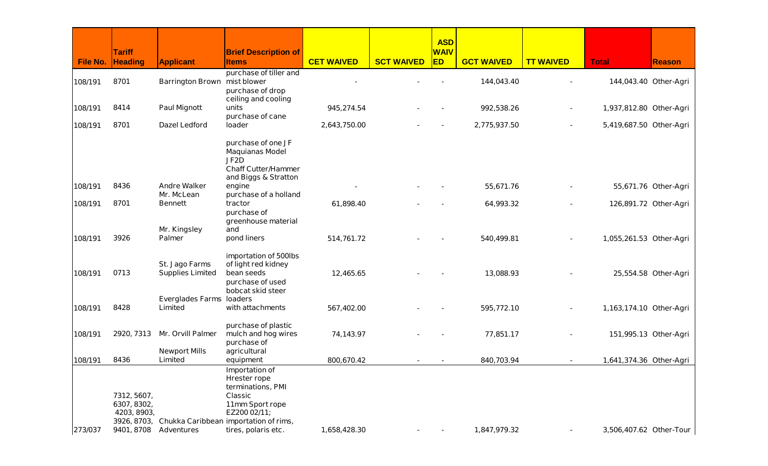|                 |                                 |                                 |                                                                   |                   |                   | <b>ASD</b>               |                   |                  |                         |                       |
|-----------------|---------------------------------|---------------------------------|-------------------------------------------------------------------|-------------------|-------------------|--------------------------|-------------------|------------------|-------------------------|-----------------------|
| <b>File No.</b> | <b>Tariff</b><br><b>Heading</b> | <b>Applicant</b>                | <b>Brief Description of</b><br><b>Items</b>                       | <b>CET WAIVED</b> | <b>SCT WAIVED</b> | <b>WAIV</b><br><b>ED</b> | <b>GCT WAIVED</b> | <b>TT WAIVED</b> | <b>Total</b>            | <b>Reason</b>         |
|                 |                                 |                                 | purchase of tiller and                                            |                   |                   |                          |                   |                  |                         |                       |
| 108/191         | 8701                            | Barrington Brown mist blower    |                                                                   |                   |                   |                          | 144,043.40        |                  | 144,043.40 Other-Agri   |                       |
|                 |                                 |                                 | purchase of drop                                                  |                   |                   |                          |                   |                  |                         |                       |
| 108/191         | 8414                            | <b>Paul Mignott</b>             | ceiling and cooling<br>units                                      | 945,274.54        |                   |                          | 992,538.26        |                  | 1,937,812.80 Other-Agri |                       |
|                 |                                 |                                 | purchase of cane                                                  |                   |                   |                          |                   |                  |                         |                       |
| 108/191         | 8701                            | <b>Dazel Ledford</b>            | loader                                                            | 2,643,750.00      |                   |                          | 2,775,937.50      |                  | 5,419,687.50 Other-Agri |                       |
|                 |                                 |                                 | purchase of one JF                                                |                   |                   |                          |                   |                  |                         |                       |
|                 |                                 |                                 | <b>Maquianas Model</b>                                            |                   |                   |                          |                   |                  |                         |                       |
|                 |                                 |                                 | JF <sub>2</sub> D<br><b>Chaff Cutter/Hammer</b>                   |                   |                   |                          |                   |                  |                         |                       |
|                 |                                 |                                 | and Biggs & Stratton                                              |                   |                   |                          |                   |                  |                         |                       |
| 108/191         | 8436                            | <b>Andre Walker</b>             | engine                                                            |                   |                   |                          | 55,671.76         |                  |                         | 55,671.76 Other-Agri  |
|                 | 8701                            | Mr. McLean                      | purchase of a holland                                             |                   |                   |                          |                   |                  |                         |                       |
| 108/191         |                                 | <b>Bennett</b>                  | tractor<br>purchase of                                            | 61,898.40         |                   |                          | 64,993.32         |                  |                         | 126,891.72 Other-Agri |
|                 |                                 |                                 | greenhouse material                                               |                   |                   |                          |                   |                  |                         |                       |
|                 |                                 | Mr. Kingsley                    | and                                                               |                   |                   |                          |                   |                  |                         |                       |
| 108/191         | 3926                            | <b>Palmer</b>                   | pond liners                                                       | 514,761.72        |                   |                          | 540,499.81        |                  | 1,055,261.53 Other-Agri |                       |
|                 |                                 |                                 | importation of 500lbs                                             |                   |                   |                          |                   |                  |                         |                       |
|                 |                                 | St. Jago Farms                  | of light red kidney                                               |                   |                   |                          |                   |                  |                         |                       |
| 108/191         | 0713                            | <b>Supplies Limited</b>         | bean seeds<br>purchase of used                                    | 12,465.65         |                   |                          | 13,088.93         |                  |                         | 25,554.58 Other-Agri  |
|                 |                                 |                                 | bobcat skid steer                                                 |                   |                   |                          |                   |                  |                         |                       |
|                 |                                 | <b>Everglades Farms loaders</b> |                                                                   |                   |                   |                          |                   |                  |                         |                       |
| 108/191         | 8428                            | Limited                         | with attachments                                                  | 567,402.00        |                   |                          | 595,772.10        |                  | 1,163,174.10 Other-Agri |                       |
|                 |                                 |                                 | purchase of plastic                                               |                   |                   |                          |                   |                  |                         |                       |
| 108/191         | 2920, 7313                      | Mr. Orvill Palmer               | mulch and hog wires                                               | 74,143.97         |                   |                          | 77,851.17         |                  | 151,995.13 Other-Agri   |                       |
|                 |                                 | <b>Newport Mills</b>            | purchase of<br>agricultural                                       |                   |                   |                          |                   |                  |                         |                       |
| 108/191         | 8436                            | Limited                         | equipment                                                         | 800,670.42        |                   |                          | 840,703.94        |                  | 1,641,374.36 Other-Agri |                       |
|                 |                                 |                                 | Importation of                                                    |                   |                   |                          |                   |                  |                         |                       |
|                 |                                 |                                 | <b>Hrester rope</b><br>terminations, PMI                          |                   |                   |                          |                   |                  |                         |                       |
|                 | 7312, 5607,                     |                                 | <b>Classic</b>                                                    |                   |                   |                          |                   |                  |                         |                       |
|                 | 6307, 8302,                     |                                 | 11mm Sport rope                                                   |                   |                   |                          |                   |                  |                         |                       |
|                 | 4203, 8903,                     |                                 | EZ200 02/11;<br>3926, 8703, Chukka Caribbean importation of rims, |                   |                   |                          |                   |                  |                         |                       |
| 273/037         |                                 | 9401, 8708 Adventures           | tires, polaris etc.                                               | 1,658,428.30      |                   |                          | 1,847,979.32      |                  | 3,506,407.62 Other-Tour |                       |